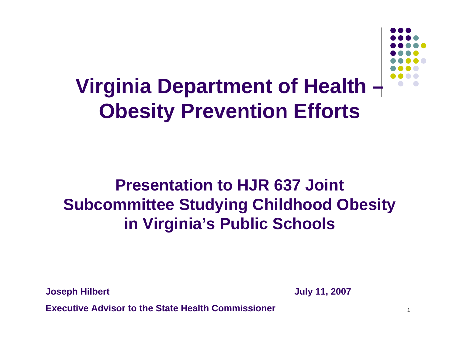

1

#### **Virginia Department of Health – Obesity Prevention Efforts**

#### **Presentation to HJR 637 Joint Subcommittee Studying Childhood Obesity in Virginia's Public Schools**

**Joseph Hilbert July 11, 2007**

**Executive Advisor to the State Health Commissioner**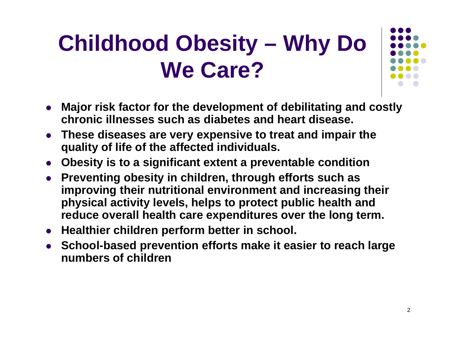# **Childhood Obesity – Why Do We Care?**

- 
- $\bullet$  **Major risk factor for the development of debilitating and costly chronic illnesses such as diabetes and heart disease.**
- $\bullet$  **These diseases are very expensive to treat and impair the quality of life of the affected individuals.**
- **Obesity is to a significant extent a preventable condition**
- **Preventing obesity in children, through efforts such as improving their nutritional environment and increasing their physical activity levels, helps to protect public health and reduce overall health care expenditures over the long term.**
- **Healthier children perform better in school.**
- **School-based prevention efforts make it easier to reach large numbers of children**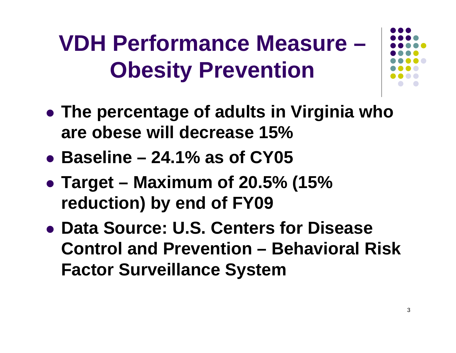# **VDH Performance Measure –Obesity Prevention**



- **The percentage of adults in Virginia who are obese will decrease 15%**
- z **Baseline – 24.1% as of CY05**
- z **Target – Maximum of 20.5% (15% reduction) by end of FY09**
- z **Data Source: U.S. Centers for Disease Control and Prevention – Behavioral Risk Factor Surveillance System**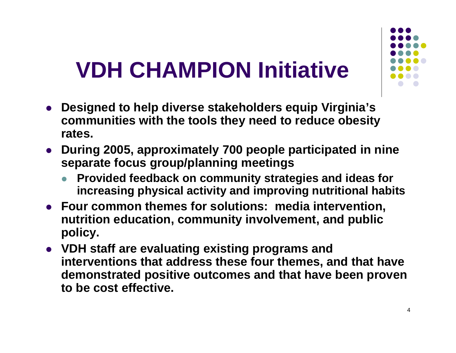# **VDH CHAMPION Initiative**

- z **Designed to help diverse stakeholders equip Virginia's communities with the tools they need to reduce obesity rates.**
- **During 2005, approximately 700 people participated in nine separate focus group/planning meetings**
	- **Provided feedback on community strategies and ideas for increasing physical activity and improving nutritional habits**
- **Four common themes for solutions: media intervention, nutrition education, community involvement, and public policy.**
- z **VDH staff are evaluating existing programs and interventions that address these four themes, and that have demonstrated positive outcomes and that have been proven to be cost effective.**

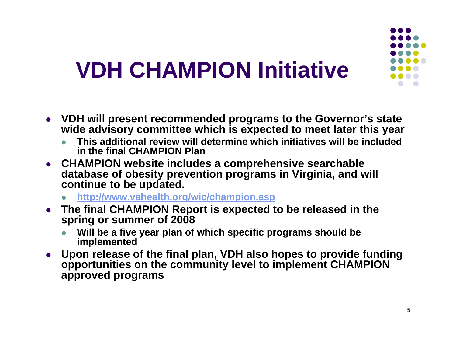# **VDH CHAMPION Initiative**

- z **VDH will present recommended programs to the Governor's state wide advisory committee which is expected to meet later this year** 
	- z **This additional review will determine which initiatives will be included in the final CHAMPION Plan**
- **CHAMPION website includes a comprehensive searchable database of obesity prevention programs in Virginia, and will continue to be updated.**
	- z**http://www.vahealth.org/wic/champion.asp**
- $\bullet$  **The final CHAMPION Report is expected to be released in the spring or summer of 2008**
	- z **Will be a five year plan of which specific programs should be implemented**
- $\bullet$  **Upon release of the final plan, VDH also hopes to provide funding opportunities on the community level to implement CHAMPION approved programs**

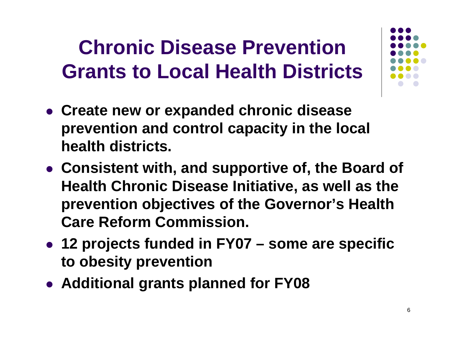#### **Chronic Disease Prevention Grants to Local Health Districts**

- **Create new or expanded chronic disease prevention and control capacity in the local health districts.**
- **Consistent with, and supportive of, the Board of Health Chronic Disease Initiative, as well as the prevention objectives of the Governor's Health Care Reform Commission.**
- z **12 projects funded in FY07 – some are specific to obesity prevention**
- **Additional grants planned for FY08**

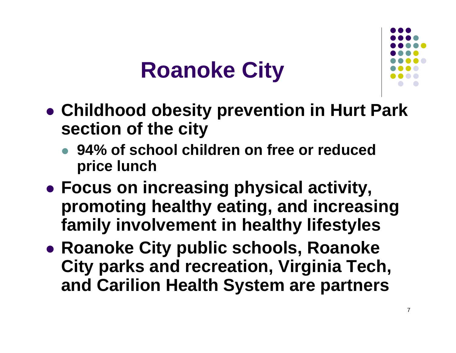### **Roanoke City**



- **Childhood obesity prevention in Hurt Park section of the city**
	- **94% of school children on free or reduced price lunch**
- z **Focus on increasing physical activity, promoting healthy eating, and increasing family involvement in healthy lifestyles**
- **Roanoke City public schools, Roanoke City parks and recreation, Virginia Tech, and Carilion Health System are partners**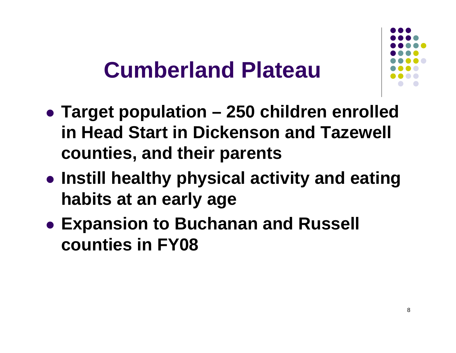### **Cumberland Plateau**

- z **Target population – 250 children enrolled in Head Start in Dickenson and Tazewell counties, and their parents**
- **Instill healthy physical activity and eating habits at an early age**
- **Expansion to Buchanan and Russell counties in FY08**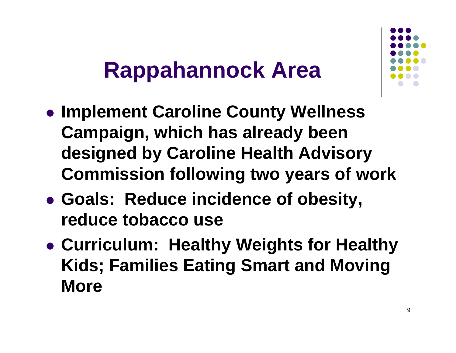### **Rappahannock Area**

- **Implement Caroline County Wellness Campaign, which has already been designed by Caroline Health Advisory Commission following two years of work**
- z **Goals: Reduce incidence of obesity, reduce tobacco use**
- z **Curriculum: Healthy Weights for Healthy Kids; Families Eating Smart and Moving More**

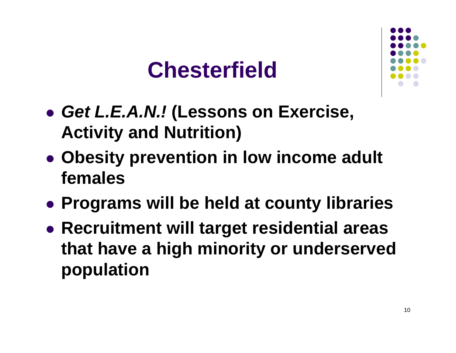### **Chesterfield**



- z *Get L.E.A.N.!* **(Lessons on Exercise, Activity and Nutrition)**
- **Obesity prevention in low income adult females**
- **Programs will be held at county libraries**
- **Recruitment will target residential areas that have a high minority or underserved population**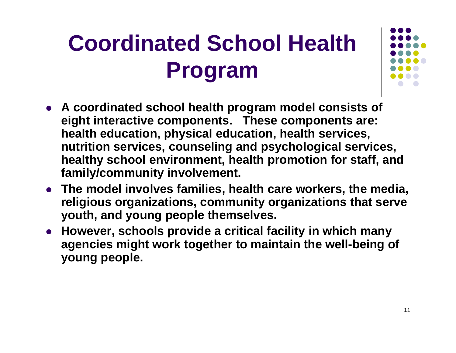# **Coordinated School Health Program**

- **A coordinated school health program model consists of eight interactive components. These components are: health education, physical education, health services, nutrition services, counseling and psychological services, healthy school environment, health promotion for staff, and family/community involvement.**
- **The model involves families, health care workers, the media, religious organizations, community organizations that serve youth, and young people themselves.**
- **However, schools provide a critical facility in which many agencies might work together to maintain the well-being of young people.**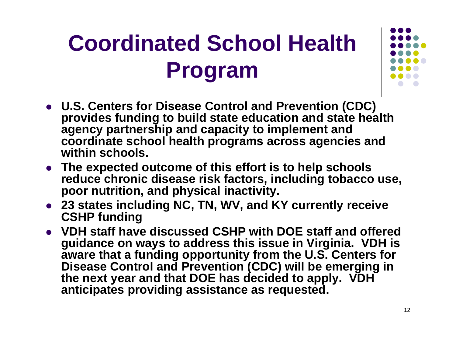# **Coordinated School Health Program**

- **U.S. Centers for Disease Control and Prevention (CDC) provides funding to build state education and state health agency partnership and capacity to implement and coordinate school health programs across agencies and within schools.**
- The expected outcome of this effort is to help schools **reduce chronic disease risk factors, including tobacco use, poor nutrition, and physical inactivity.**
- **23 states including NC, TN, WV, and KY currently receive CSHP funding**
- z **VDH staff have discussed CSHP with DOE staff and offered guidance on ways to address this issue in Virginia. VDH is aware that a funding opportunity from the U.S. Centers for Disease Control and Prevention (CDC) will be emerging in the next year and that DOE has decided to apply. VDH anticipates providing assistance as requested.**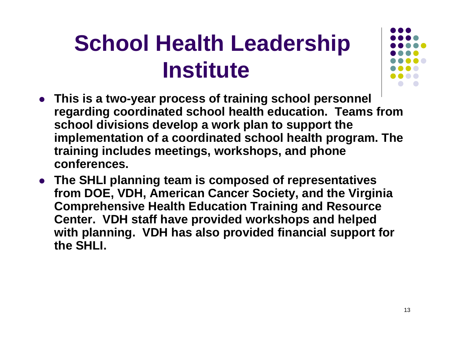# **School Health Leadership Institute**



- **This is a two-year process of training school personnel regarding coordinated school health education. Teams from school divisions develop a work plan to support the implementation of a coordinated school health program. The training includes meetings, workshops, and phone conferences.**
- **The SHLI planning team is composed of representatives from DOE, VDH, American Cancer Society, and the Virginia Comprehensive Health Education Training and Resource Center. VDH staff have provided workshops and helped with planning. VDH has also provided financial support for the SHLI.**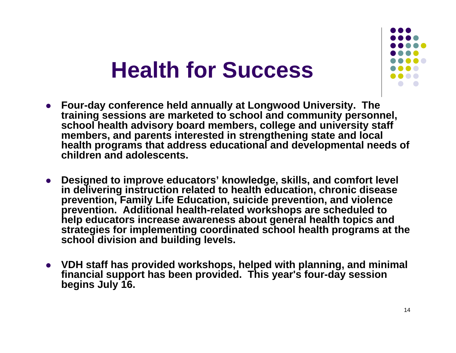### **Health for Success**

- z **Four-day conference held annually at Longwood University. The training sessions are marketed to school and community personnel, school health advisory board members, college and university staff members, and parents interested in strengthening state and local health programs that address educational and developmental needs of children and adolescents.**
- z **Designed to improve educators' knowledge, skills, and comfort level in delivering instruction related to health education, chronic disease prevention, Family Life Education, suicide prevention, and violence prevention. Additional health-related workshops are scheduled to help educators increase awareness about general health topics and strategies for implementing coordinated school health programs at the school division and building levels.**
- VDH staff has provided workshops, helped with planning, and minimal **financial support has been provided. This year's four-day session begins July 16.**

14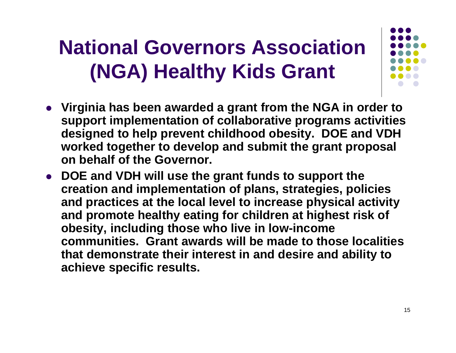### **National Governors Association (NGA) Healthy Kids Grant**

- **•** Virginia has been awarded a grant from the NGA in order to **support implementation of collaborative programs activities designed to help prevent childhood obesity. DOE and VDH worked together to develop and submit the grant proposal on behalf of the Governor.**
- **DOE and VDH will use the grant funds to support the creation and implementation of plans, strategies, policies and practices at the local level to increase physical activity and promote healthy eating for children at highest risk of obesity, including those who live in low-income communities. Grant awards will be made to those localities that demonstrate their interest in and desire and ability to achieve specific results.**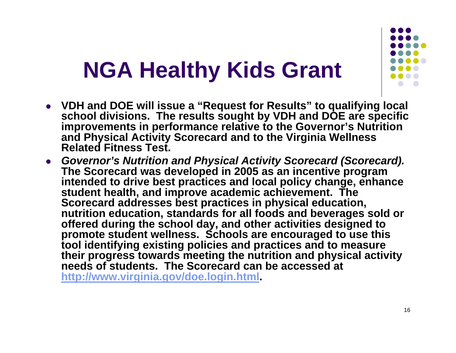# **NGA Healthy Kids Grant**

- z **VDH and DOE will issue a "Request for Results" to qualifying local school divisions. The results sought by VDH and DOE are specific improvements in performance relative to the Governor's Nutrition and Physical Activity Scorecard and to the Virginia Wellness Related Fitness Test.**
- z *Governor's Nutrition and Physical Activity Scorecard (Scorecard).* **The Scorecard was developed in 2005 as an incentive program intended to drive best practices and local policy change, enhance student health, and improve academic achievement. The Scorecard addresses best practices in physical education, nutrition education, standards for all foods and beverages sold or offered during the school day, and other activities designed to promote student wellness. Schools are encouraged to use this tool identifying existing policies and practices and to measure their progress towards meeting the nutrition and physical activity needs of students. The Scorecard can be accessed at http://www.virginia.gov/doe.login.html.**

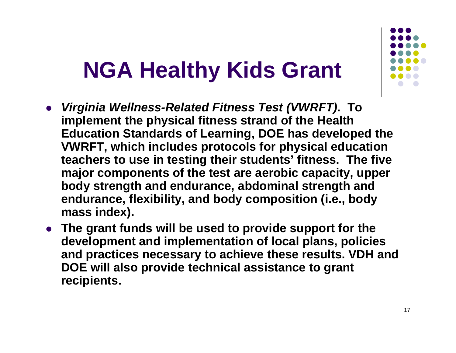## **NGA Healthy Kids Grant**

- $\bullet$  *Virginia Wellness-Related Fitness Test (VWRFT)***. To implement the physical fitness strand of the Health Education Standards of Learning, DOE has developed the VWRFT, which includes protocols for physical education teachers to use in testing their students' fitness. The five major components of the test are aerobic capacity, upper body strength and endurance, abdominal strength and endurance, flexibility, and body composition (i.e., body mass index).**
- **The grant funds will be used to provide support for the development and implementation of local plans, policies and practices necessary to achieve these results. VDH and DOE will also provide technical assistance to grant recipients.**

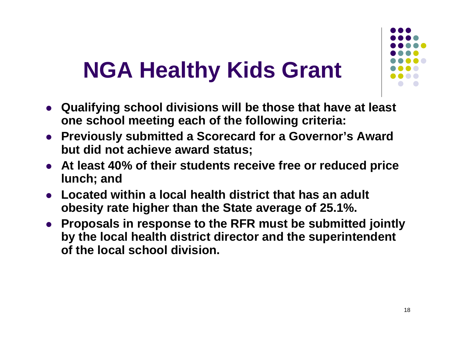# **NGA Healthy Kids Grant**

- **Qualifying school divisions will be those that have at least one school meeting each of the following criteria:**
- **Previously submitted a Scorecard for a Governor's Award but did not achieve award status;**
- **At least 40% of their students receive free or reduced price lunch; and**
- **Located within a local health district that has an adult obesity rate higher than the State average of 25.1%.**
- **Proposals in response to the RFR must be submitted jointly by the local health district director and the superintendent of the local school division.**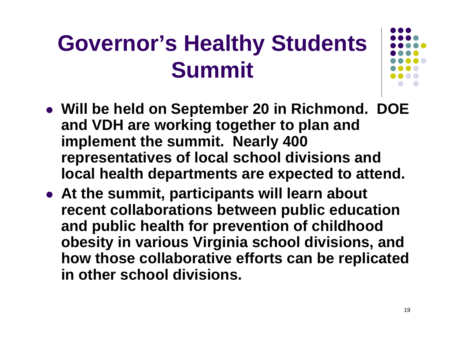# **Governor's Healthy Students Summit**

- z **Will be held on September 20 in Richmond. DOE and VDH are working together to plan and implement the summit. Nearly 400 representatives of local school divisions and local health departments are expected to attend.**
- **At the summit, participants will learn about recent collaborations between public education and public health for prevention of childhood obesity in various Virginia school divisions, and how those collaborative efforts can be replicated in other school divisions.**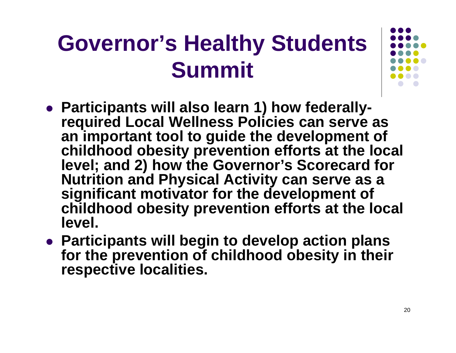# **Governor's Healthy Students Summit**

- **Participants will also learn 1) how federallyrequired Local Wellness Policies can serve as an important tool to guide the development of childhood obesity prevention efforts at the local level; and 2) how the Governor's Scorecard for Nutrition and Physical Activity can serve as a significant motivator for the development of childhood obesity prevention efforts at the local level.**
- **Participants will begin to develop action plans for the prevention of childhood obesity in their respective localities.**